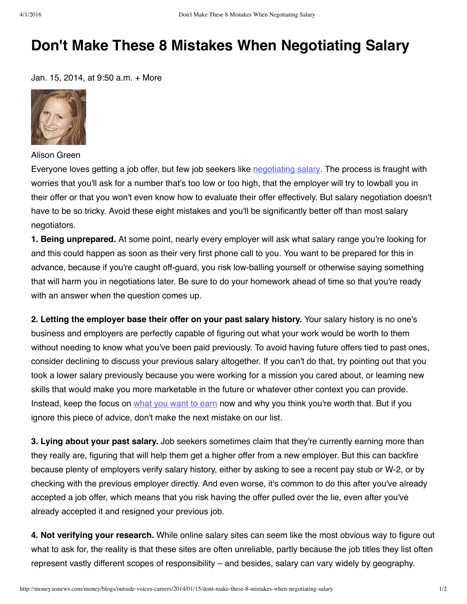## **Don't Make These 8 Mistakes When Negotiating Salary**

Jan. 15, 2014, at 9:50 a.m. + More



Alison Green

Everyone loves getting a job offer, but few job seekers like [negotiating](http://money.usnews.com/money/blogs/outside-voices-careers/2013/01/23/overcome-your-fears-about-negotiating-salary) salary. The process is fraught with worries that you'll ask for a number that's too low or too high, that the employer will try to lowball you in their offer or that you won't even know how to evaluate their offer effectively. But salary negotiation doesn't have to be so tricky. Avoid these eight mistakes and you'll be significantly better off than most salary negotiators.

**1. Being unprepared.** At some point, nearly every employer will ask what salary range you're looking for and this could happen as soon as their very first phone call to you. You want to be prepared for this in advance, because if you're caught off-guard, you risk low-balling yourself or otherwise saying something that will harm you in negotiations later. Be sure to do your homework ahead of time so that you're ready with an answer when the question comes up.

**2. Letting the employer base their offer on your past salary history.** Your salary history is no one's business and employers are perfectly capable of figuring out what your work would be worth to them without needing to know what you've been paid previously. To avoid having future offers tied to past ones, consider declining to discuss your previous salary altogether. If you can't do that, try pointing out that you took a lower salary previously because you were working for a mission you cared about, or learning new skills that would make you more marketable in the future or whatever other context you can provide. Instead, keep the focus on what you [want](http://money.usnews.com/money/blogs/outside-voices-careers/2013/09/30/why-employers-wont-name-a-salary-range-first) to earn now and why you think you're worth that. But if you ignore this piece of advice, don't make the next mistake on our list.

**3. Lying about your past salary.** Job seekers sometimes claim that they're currently earning more than they really are, figuring that will help them get a higher offer from a new employer. But this can backfire because plenty of employers verify salary history, either by asking to see a recent pay stub or W-2, or by checking with the previous employer directly. And even worse, it's common to do this after you've already accepted a job offer, which means that you risk having the offer pulled over the lie, even after you've already accepted it and resigned your previous job.

**4. Not verifying your research.** While online salary sites can seem like the most obvious way to figure out what to ask for, the reality is that these sites are often unreliable, partly because the job titles they list often represent vastly different scopes of responsibility – and besides, salary can vary widely by geography.